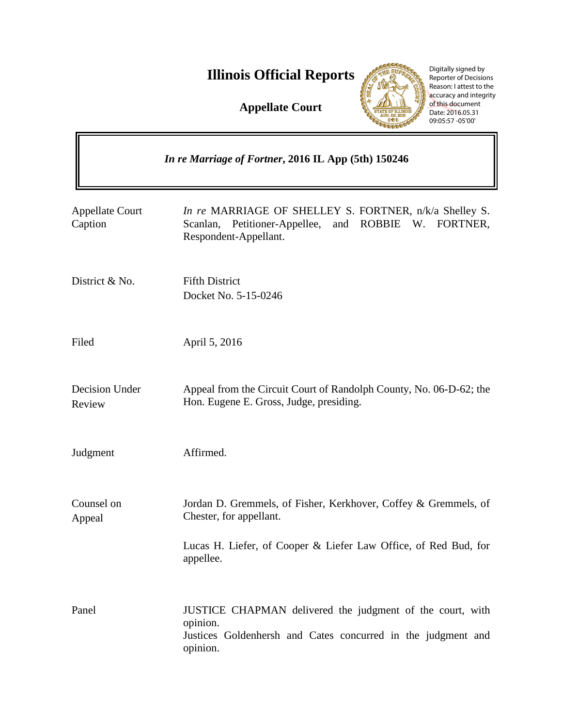## **Illinois Official Reports**

**Appellate Court**



Digitally signed by Reporter of Decisions Reason: I attest to the accuracy and integrity of this document Date: 2016.05.31 09:05:57 -05'00'

| In re Marriage of Fortner, 2016 IL App (5th) 150246 |                                                                                                                                                                            |
|-----------------------------------------------------|----------------------------------------------------------------------------------------------------------------------------------------------------------------------------|
| <b>Appellate Court</b><br>Caption                   | In re MARRIAGE OF SHELLEY S. FORTNER, n/k/a Shelley S.<br>Scanlan, Petitioner-Appellee,<br>and ROBBIE W. FORTNER,<br>Respondent-Appellant.                                 |
| District & No.                                      | <b>Fifth District</b><br>Docket No. 5-15-0246                                                                                                                              |
| Filed                                               | April 5, 2016                                                                                                                                                              |
| Decision Under<br>Review                            | Appeal from the Circuit Court of Randolph County, No. 06-D-62; the<br>Hon. Eugene E. Gross, Judge, presiding.                                                              |
| Judgment                                            | Affirmed.                                                                                                                                                                  |
| Counsel on<br>Appeal                                | Jordan D. Gremmels, of Fisher, Kerkhover, Coffey & Gremmels, of<br>Chester, for appellant.<br>Lucas H. Liefer, of Cooper & Liefer Law Office, of Red Bud, for<br>appellee. |
| Panel                                               | JUSTICE CHAPMAN delivered the judgment of the court, with<br>opinion.<br>Justices Goldenhersh and Cates concurred in the judgment and<br>opinion.                          |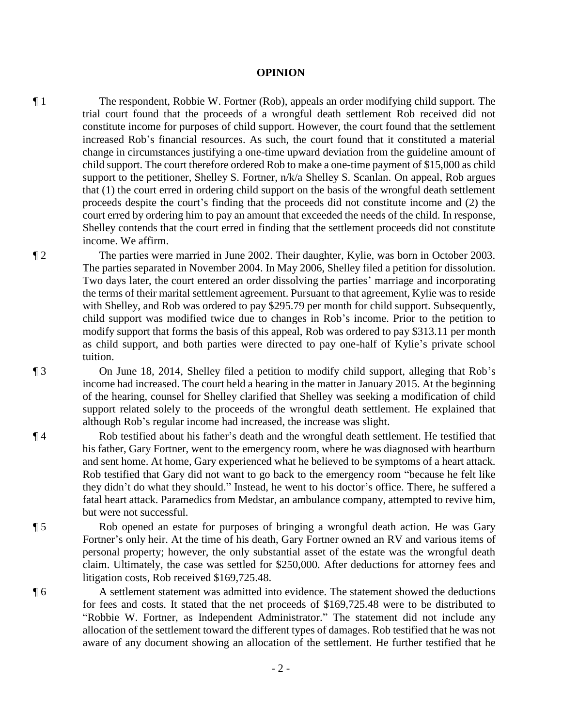## **OPINION**

¶ 1 The respondent, Robbie W. Fortner (Rob), appeals an order modifying child support. The trial court found that the proceeds of a wrongful death settlement Rob received did not constitute income for purposes of child support. However, the court found that the settlement increased Rob's financial resources. As such, the court found that it constituted a material change in circumstances justifying a one-time upward deviation from the guideline amount of child support. The court therefore ordered Rob to make a one-time payment of \$15,000 as child support to the petitioner, Shelley S. Fortner, n/k/a Shelley S. Scanlan. On appeal, Rob argues that (1) the court erred in ordering child support on the basis of the wrongful death settlement proceeds despite the court's finding that the proceeds did not constitute income and (2) the court erred by ordering him to pay an amount that exceeded the needs of the child. In response, Shelley contends that the court erred in finding that the settlement proceeds did not constitute income. We affirm.

¶ 2 The parties were married in June 2002. Their daughter, Kylie, was born in October 2003. The parties separated in November 2004. In May 2006, Shelley filed a petition for dissolution. Two days later, the court entered an order dissolving the parties' marriage and incorporating the terms of their marital settlement agreement. Pursuant to that agreement, Kylie was to reside with Shelley, and Rob was ordered to pay \$295.79 per month for child support. Subsequently, child support was modified twice due to changes in Rob's income. Prior to the petition to modify support that forms the basis of this appeal, Rob was ordered to pay \$313.11 per month as child support, and both parties were directed to pay one-half of Kylie's private school tuition.

¶ 3 On June 18, 2014, Shelley filed a petition to modify child support, alleging that Rob's income had increased. The court held a hearing in the matter in January 2015. At the beginning of the hearing, counsel for Shelley clarified that Shelley was seeking a modification of child support related solely to the proceeds of the wrongful death settlement. He explained that although Rob's regular income had increased, the increase was slight.

¶ 4 Rob testified about his father's death and the wrongful death settlement. He testified that his father, Gary Fortner, went to the emergency room, where he was diagnosed with heartburn and sent home. At home, Gary experienced what he believed to be symptoms of a heart attack. Rob testified that Gary did not want to go back to the emergency room "because he felt like they didn't do what they should." Instead, he went to his doctor's office. There, he suffered a fatal heart attack. Paramedics from Medstar, an ambulance company, attempted to revive him, but were not successful.

¶ 5 Rob opened an estate for purposes of bringing a wrongful death action. He was Gary Fortner's only heir. At the time of his death, Gary Fortner owned an RV and various items of personal property; however, the only substantial asset of the estate was the wrongful death claim. Ultimately, the case was settled for \$250,000. After deductions for attorney fees and litigation costs, Rob received \$169,725.48.

¶ 6 A settlement statement was admitted into evidence. The statement showed the deductions for fees and costs. It stated that the net proceeds of \$169,725.48 were to be distributed to "Robbie W. Fortner, as Independent Administrator." The statement did not include any allocation of the settlement toward the different types of damages. Rob testified that he was not aware of any document showing an allocation of the settlement. He further testified that he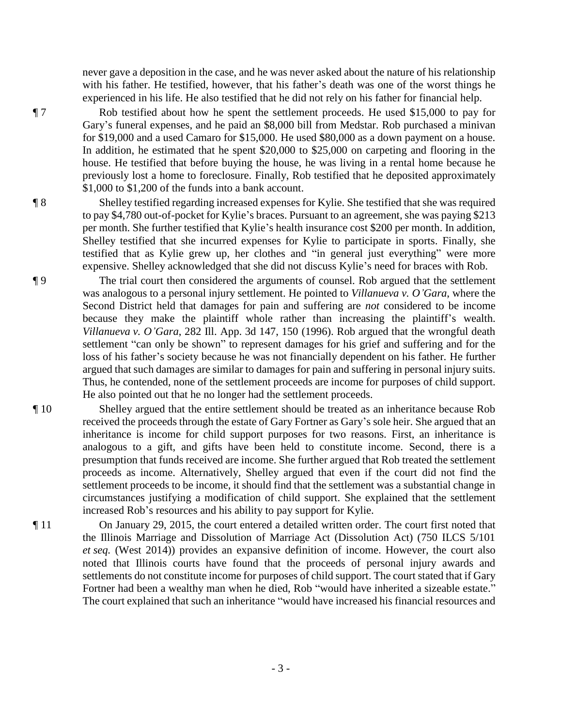never gave a deposition in the case, and he was never asked about the nature of his relationship with his father. He testified, however, that his father's death was one of the worst things he experienced in his life. He also testified that he did not rely on his father for financial help.

¶ 7 Rob testified about how he spent the settlement proceeds. He used \$15,000 to pay for Gary's funeral expenses, and he paid an \$8,000 bill from Medstar. Rob purchased a minivan for \$19,000 and a used Camaro for \$15,000. He used \$80,000 as a down payment on a house. In addition, he estimated that he spent \$20,000 to \$25,000 on carpeting and flooring in the house. He testified that before buying the house, he was living in a rental home because he previously lost a home to foreclosure. Finally, Rob testified that he deposited approximately \$1,000 to \$1,200 of the funds into a bank account.

¶ 8 Shelley testified regarding increased expenses for Kylie. She testified that she was required to pay \$4,780 out-of-pocket for Kylie's braces. Pursuant to an agreement, she was paying \$213 per month. She further testified that Kylie's health insurance cost \$200 per month. In addition, Shelley testified that she incurred expenses for Kylie to participate in sports. Finally, she testified that as Kylie grew up, her clothes and "in general just everything" were more expensive. Shelley acknowledged that she did not discuss Kylie's need for braces with Rob.

¶ 9 The trial court then considered the arguments of counsel. Rob argued that the settlement was analogous to a personal injury settlement. He pointed to *Villanueva v. O'Gara*, where the Second District held that damages for pain and suffering are *not* considered to be income because they make the plaintiff whole rather than increasing the plaintiff's wealth. *Villanueva v. O'Gara*, 282 Ill. App. 3d 147, 150 (1996). Rob argued that the wrongful death settlement "can only be shown" to represent damages for his grief and suffering and for the loss of his father's society because he was not financially dependent on his father. He further argued that such damages are similar to damages for pain and suffering in personal injury suits. Thus, he contended, none of the settlement proceeds are income for purposes of child support. He also pointed out that he no longer had the settlement proceeds.

¶ 10 Shelley argued that the entire settlement should be treated as an inheritance because Rob received the proceeds through the estate of Gary Fortner as Gary's sole heir. She argued that an inheritance is income for child support purposes for two reasons. First, an inheritance is analogous to a gift, and gifts have been held to constitute income. Second, there is a presumption that funds received are income. She further argued that Rob treated the settlement proceeds as income. Alternatively, Shelley argued that even if the court did not find the settlement proceeds to be income, it should find that the settlement was a substantial change in circumstances justifying a modification of child support. She explained that the settlement increased Rob's resources and his ability to pay support for Kylie.

¶ 11 On January 29, 2015, the court entered a detailed written order. The court first noted that the Illinois Marriage and Dissolution of Marriage Act (Dissolution Act) (750 ILCS 5/101 *et seq.* (West 2014)) provides an expansive definition of income. However, the court also noted that Illinois courts have found that the proceeds of personal injury awards and settlements do not constitute income for purposes of child support. The court stated that if Gary Fortner had been a wealthy man when he died, Rob "would have inherited a sizeable estate." The court explained that such an inheritance "would have increased his financial resources and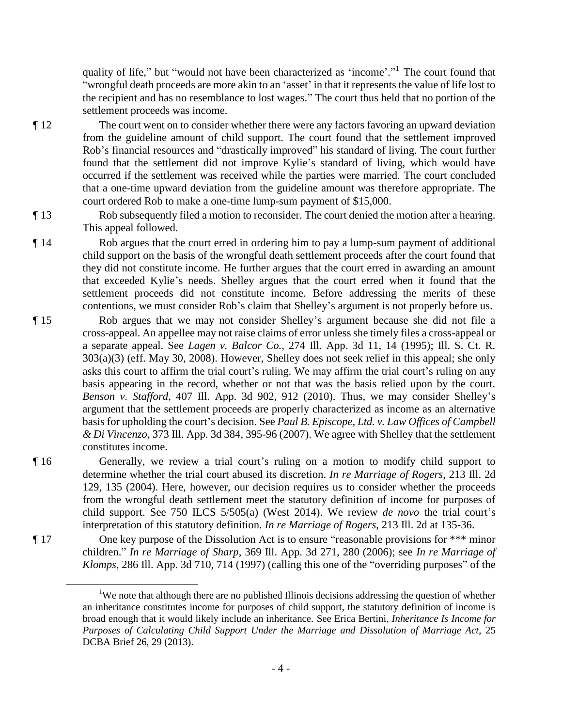quality of life," but "would not have been characterized as 'income'." The court found that "wrongful death proceeds are more akin to an 'asset' in that it represents the value of life lost to the recipient and has no resemblance to lost wages." The court thus held that no portion of the settlement proceeds was income.

- ¶ 12 The court went on to consider whether there were any factors favoring an upward deviation from the guideline amount of child support. The court found that the settlement improved Rob's financial resources and "drastically improved" his standard of living. The court further found that the settlement did not improve Kylie's standard of living, which would have occurred if the settlement was received while the parties were married. The court concluded that a one-time upward deviation from the guideline amount was therefore appropriate. The court ordered Rob to make a one-time lump-sum payment of \$15,000.
- ¶ 13 Rob subsequently filed a motion to reconsider. The court denied the motion after a hearing. This appeal followed.
- ¶ 14 Rob argues that the court erred in ordering him to pay a lump-sum payment of additional child support on the basis of the wrongful death settlement proceeds after the court found that they did not constitute income. He further argues that the court erred in awarding an amount that exceeded Kylie's needs. Shelley argues that the court erred when it found that the settlement proceeds did not constitute income. Before addressing the merits of these contentions, we must consider Rob's claim that Shelley's argument is not properly before us.
- ¶ 15 Rob argues that we may not consider Shelley's argument because she did not file a cross-appeal. An appellee may not raise claims of error unless she timely files a cross-appeal or a separate appeal. See *Lagen v. Balcor Co.*, 274 Ill. App. 3d 11, 14 (1995); Ill. S. Ct. R. 303(a)(3) (eff. May 30, 2008). However, Shelley does not seek relief in this appeal; she only asks this court to affirm the trial court's ruling. We may affirm the trial court's ruling on any basis appearing in the record, whether or not that was the basis relied upon by the court. *Benson v. Stafford*, 407 Ill. App. 3d 902, 912 (2010). Thus, we may consider Shelley's argument that the settlement proceeds are properly characterized as income as an alternative basis for upholding the court's decision. See *Paul B. Episcope, Ltd. v. Law Offices of Campbell & Di Vincenzo*, 373 Ill. App. 3d 384, 395-96 (2007). We agree with Shelley that the settlement constitutes income.
- ¶ 16 Generally, we review a trial court's ruling on a motion to modify child support to determine whether the trial court abused its discretion. *In re Marriage of Rogers*, 213 Ill. 2d 129, 135 (2004). Here, however, our decision requires us to consider whether the proceeds from the wrongful death settlement meet the statutory definition of income for purposes of child support. See 750 ILCS 5/505(a) (West 2014). We review *de novo* the trial court's interpretation of this statutory definition. *In re Marriage of Rogers*, 213 Ill. 2d at 135-36.
- ¶ 17 One key purpose of the Dissolution Act is to ensure "reasonable provisions for \*\*\* minor children." *In re Marriage of Sharp*, 369 Ill. App. 3d 271, 280 (2006); see *In re Marriage of Klomps*, 286 Ill. App. 3d 710, 714 (1997) (calling this one of the "overriding purposes" of the

 $\overline{a}$ 

- 4 -

<sup>&</sup>lt;sup>1</sup>We note that although there are no published Illinois decisions addressing the question of whether an inheritance constitutes income for purposes of child support, the statutory definition of income is broad enough that it would likely include an inheritance. See Erica Bertini, *Inheritance Is Income for Purposes of Calculating Child Support Under the Marriage and Dissolution of Marriage Act*, 25 DCBA Brief 26, 29 (2013).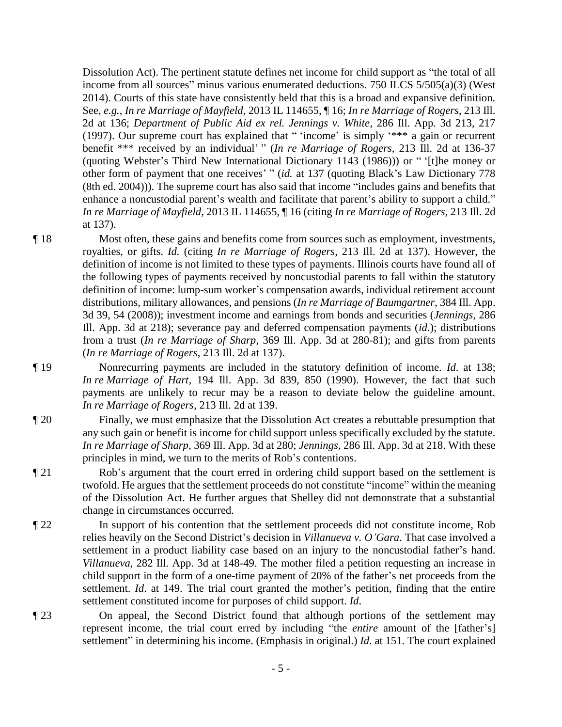Dissolution Act). The pertinent statute defines net income for child support as "the total of all income from all sources" minus various enumerated deductions. 750 ILCS 5/505(a)(3) (West 2014). Courts of this state have consistently held that this is a broad and expansive definition. See, *e.g.*, *In re Marriage of Mayfield*, 2013 IL 114655, ¶ 16; *In re Marriage of Rogers*, 213 Ill. 2d at 136; *Department of Public Aid ex rel. Jennings v. White*, 286 Ill. App. 3d 213, 217 (1997). Our supreme court has explained that " 'income' is simply '\*\*\* a gain or recurrent benefit \*\*\* received by an individual' " (*In re Marriage of Rogers*, 213 Ill. 2d at 136-37 (quoting Webster's Third New International Dictionary 1143 (1986))) or " '[t]he money or other form of payment that one receives' " (*id.* at 137 (quoting Black's Law Dictionary 778 (8th ed. 2004))). The supreme court has also said that income "includes gains and benefits that enhance a noncustodial parent's wealth and facilitate that parent's ability to support a child." *In re Marriage of Mayfield*, 2013 IL 114655, ¶ 16 (citing *In re Marriage of Rogers*, 213 Ill. 2d at 137).

- ¶ 18 Most often, these gains and benefits come from sources such as employment, investments, royalties, or gifts. *Id.* (citing *In re Marriage of Rogers*, 213 Ill. 2d at 137). However, the definition of income is not limited to these types of payments. Illinois courts have found all of the following types of payments received by noncustodial parents to fall within the statutory definition of income: lump-sum worker's compensation awards, individual retirement account distributions, military allowances, and pensions (*In re Marriage of Baumgartner*, 384 Ill. App. 3d 39, 54 (2008)); investment income and earnings from bonds and securities (*Jennings*, 286 Ill. App. 3d at 218); severance pay and deferred compensation payments (*id*.); distributions from a trust (*In re Marriage of Sharp*, 369 Ill. App. 3d at 280-81); and gifts from parents (*In re Marriage of Rogers*, 213 Ill. 2d at 137).
- ¶ 19 Nonrecurring payments are included in the statutory definition of income. *Id*. at 138; *In re Marriage of Hart*, 194 Ill. App. 3d 839, 850 (1990). However, the fact that such payments are unlikely to recur may be a reason to deviate below the guideline amount. *In re Marriage of Rogers*, 213 Ill. 2d at 139.
- ¶ 20 Finally, we must emphasize that the Dissolution Act creates a rebuttable presumption that any such gain or benefit is income for child support unless specifically excluded by the statute. *In re Marriage of Sharp*, 369 Ill. App. 3d at 280; *Jennings*, 286 Ill. App. 3d at 218. With these principles in mind, we turn to the merits of Rob's contentions.
- ¶ 21 Rob's argument that the court erred in ordering child support based on the settlement is twofold. He argues that the settlement proceeds do not constitute "income" within the meaning of the Dissolution Act. He further argues that Shelley did not demonstrate that a substantial change in circumstances occurred.
- ¶ 22 In support of his contention that the settlement proceeds did not constitute income, Rob relies heavily on the Second District's decision in *Villanueva v. O'Gara*. That case involved a settlement in a product liability case based on an injury to the noncustodial father's hand. *Villanueva*, 282 Ill. App. 3d at 148-49. The mother filed a petition requesting an increase in child support in the form of a one-time payment of 20% of the father's net proceeds from the settlement. *Id*. at 149. The trial court granted the mother's petition, finding that the entire settlement constituted income for purposes of child support. *Id*.
- ¶ 23 On appeal, the Second District found that although portions of the settlement may represent income, the trial court erred by including "the *entire* amount of the [father's] settlement" in determining his income. (Emphasis in original.) *Id*. at 151. The court explained
	- 5 -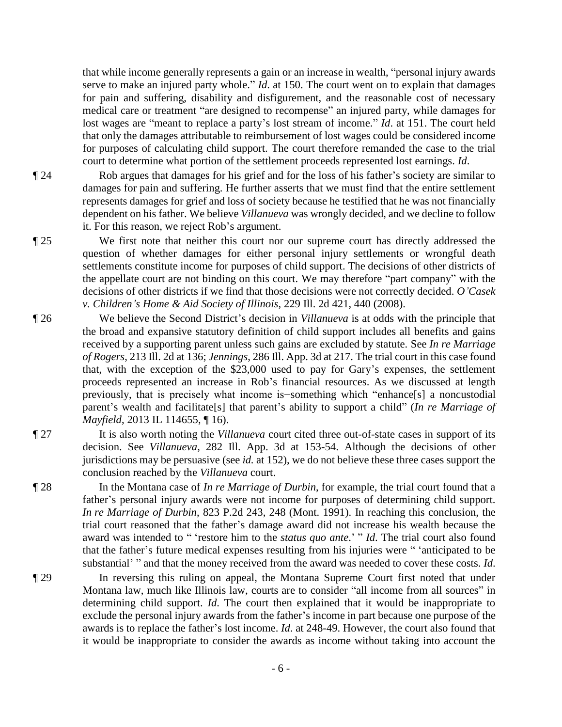that while income generally represents a gain or an increase in wealth, "personal injury awards serve to make an injured party whole." *Id*. at 150. The court went on to explain that damages for pain and suffering, disability and disfigurement, and the reasonable cost of necessary medical care or treatment "are designed to recompense" an injured party, while damages for lost wages are "meant to replace a party's lost stream of income." *Id*. at 151. The court held that only the damages attributable to reimbursement of lost wages could be considered income for purposes of calculating child support. The court therefore remanded the case to the trial court to determine what portion of the settlement proceeds represented lost earnings. *Id*.

¶ 24 Rob argues that damages for his grief and for the loss of his father's society are similar to damages for pain and suffering. He further asserts that we must find that the entire settlement represents damages for grief and loss of society because he testified that he was not financially dependent on his father. We believe *Villanueva* was wrongly decided, and we decline to follow it. For this reason, we reject Rob's argument.

¶ 25 We first note that neither this court nor our supreme court has directly addressed the question of whether damages for either personal injury settlements or wrongful death settlements constitute income for purposes of child support. The decisions of other districts of the appellate court are not binding on this court. We may therefore "part company" with the decisions of other districts if we find that those decisions were not correctly decided. *O'Casek v. Children's Home & Aid Society of Illinois*, 229 Ill. 2d 421, 440 (2008).

- ¶ 26 We believe the Second District's decision in *Villanueva* is at odds with the principle that the broad and expansive statutory definition of child support includes all benefits and gains received by a supporting parent unless such gains are excluded by statute. See *In re Marriage of Rogers*, 213 Ill. 2d at 136; *Jennings*, 286 Ill. App. 3d at 217. The trial court in this case found that, with the exception of the \$23,000 used to pay for Gary's expenses, the settlement proceeds represented an increase in Rob's financial resources. As we discussed at length previously, that is precisely what income is−something which "enhance[s] a noncustodial parent's wealth and facilitate[s] that parent's ability to support a child" (*In re Marriage of Mayfield*, 2013 IL 114655, ¶ 16).
- ¶ 27 It is also worth noting the *Villanueva* court cited three out-of-state cases in support of its decision. See *Villanueva*, 282 Ill. App. 3d at 153-54. Although the decisions of other jurisdictions may be persuasive (see *id.* at 152), we do not believe these three cases support the conclusion reached by the *Villanueva* court.
- ¶ 28 In the Montana case of *In re Marriage of Durbin*, for example, the trial court found that a father's personal injury awards were not income for purposes of determining child support. *In re Marriage of Durbin*, 823 P.2d 243, 248 (Mont. 1991). In reaching this conclusion, the trial court reasoned that the father's damage award did not increase his wealth because the award was intended to " 'restore him to the *status quo ante*.' " *Id*. The trial court also found that the father's future medical expenses resulting from his injuries were " 'anticipated to be substantial' " and that the money received from the award was needed to cover these costs. *Id*.
- ¶ 29 In reversing this ruling on appeal, the Montana Supreme Court first noted that under Montana law, much like Illinois law, courts are to consider "all income from all sources" in determining child support. *Id*. The court then explained that it would be inappropriate to exclude the personal injury awards from the father's income in part because one purpose of the awards is to replace the father's lost income. *Id*. at 248-49. However, the court also found that it would be inappropriate to consider the awards as income without taking into account the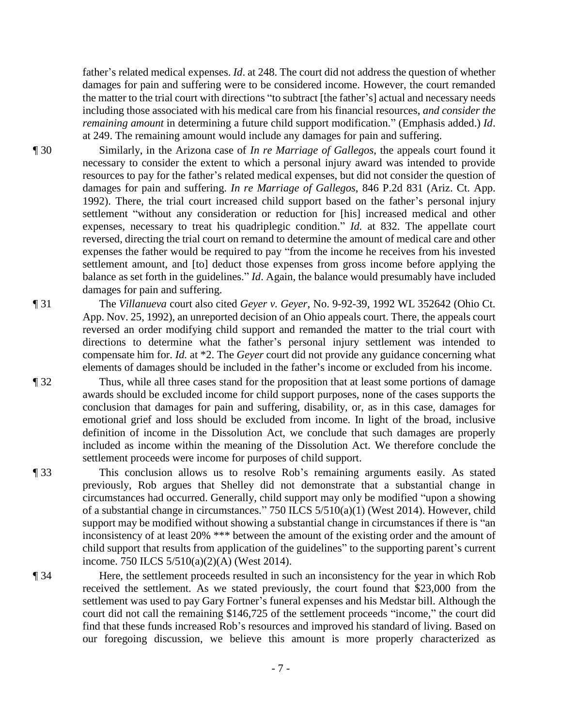father's related medical expenses. *Id*. at 248. The court did not address the question of whether damages for pain and suffering were to be considered income. However, the court remanded the matter to the trial court with directions "to subtract [the father's] actual and necessary needs including those associated with his medical care from his financial resources, *and consider the remaining amount* in determining a future child support modification." (Emphasis added.) *Id*. at 249. The remaining amount would include any damages for pain and suffering.

¶ 30 Similarly, in the Arizona case of *In re Marriage of Gallegos*, the appeals court found it necessary to consider the extent to which a personal injury award was intended to provide resources to pay for the father's related medical expenses, but did not consider the question of damages for pain and suffering. *In re Marriage of Gallegos*, 846 P.2d 831 (Ariz. Ct. App. 1992). There, the trial court increased child support based on the father's personal injury settlement "without any consideration or reduction for [his] increased medical and other expenses, necessary to treat his quadriplegic condition." *Id.* at 832. The appellate court reversed, directing the trial court on remand to determine the amount of medical care and other expenses the father would be required to pay "from the income he receives from his invested settlement amount, and [to] deduct those expenses from gross income before applying the balance as set forth in the guidelines." *Id*. Again, the balance would presumably have included damages for pain and suffering.

¶ 31 The *Villanueva* court also cited *Geyer v. Geyer*, No. 9-92-39, 1992 WL 352642 (Ohio Ct. App. Nov. 25, 1992), an unreported decision of an Ohio appeals court. There, the appeals court reversed an order modifying child support and remanded the matter to the trial court with directions to determine what the father's personal injury settlement was intended to compensate him for. *Id.* at \*2. The *Geyer* court did not provide any guidance concerning what elements of damages should be included in the father's income or excluded from his income.

¶ 32 Thus, while all three cases stand for the proposition that at least some portions of damage awards should be excluded income for child support purposes, none of the cases supports the conclusion that damages for pain and suffering, disability, or, as in this case, damages for emotional grief and loss should be excluded from income. In light of the broad, inclusive definition of income in the Dissolution Act, we conclude that such damages are properly included as income within the meaning of the Dissolution Act. We therefore conclude the settlement proceeds were income for purposes of child support.

- ¶ 33 This conclusion allows us to resolve Rob's remaining arguments easily. As stated previously, Rob argues that Shelley did not demonstrate that a substantial change in circumstances had occurred. Generally, child support may only be modified "upon a showing of a substantial change in circumstances." 750 ILCS 5/510(a)(1) (West 2014). However, child support may be modified without showing a substantial change in circumstances if there is "an inconsistency of at least 20% \*\*\* between the amount of the existing order and the amount of child support that results from application of the guidelines" to the supporting parent's current income. 750 ILCS 5/510(a)(2)(A) (West 2014).
- ¶ 34 Here, the settlement proceeds resulted in such an inconsistency for the year in which Rob received the settlement. As we stated previously, the court found that \$23,000 from the settlement was used to pay Gary Fortner's funeral expenses and his Medstar bill. Although the court did not call the remaining \$146,725 of the settlement proceeds "income," the court did find that these funds increased Rob's resources and improved his standard of living. Based on our foregoing discussion, we believe this amount is more properly characterized as